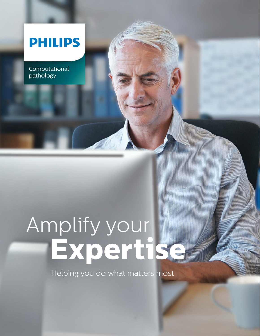## **PHILIPS**

Computational pathology

# Amplify your **Expertise**

Helping you do what matters most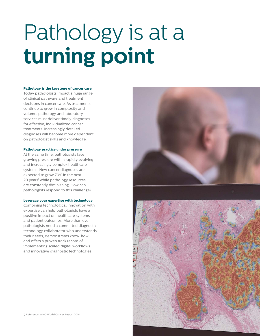# Pathology is at a **turning point**

#### **Pathology is the keystone of cancer care**

Today pathologists impact a huge range of clinical pathways and treatment decisions in cancer care. As treatments continue to grow in complexity and volume, pathology and laboratory services must deliver timely diagnoses for effective, individualized cancer treatments. Increasingly detailed diagnoses will become more dependent on pathologist skills and knowledge.

#### **Pathology practice under pressure**

At the same time, pathologists face growing pressure within rapidly evolving and increasingly complex healthcare systems. New cancer diagnoses are expected to grow 70% in the next 20 years' while pathology resources are constantly diminishing. How can pathologists respond to this challenge?

#### **Leverage your expertise with technology**

Combining technological innovation with expertise can help pathologists have a positive impact on healthcare systems and patient outcomes. More than ever, pathologists need a committed diagnostic technology collaborator who understands their needs, demonstrates know-how and offers a proven track record of implementing scaled digital workflows and innovative diagnostic technologies.

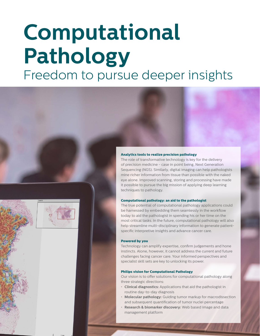## **Computational Pathology** Freedom to pursue deeper insights



#### **Analytics tools to realize precision pathology**

The role of transformative technology is key for the delivery of precision medicine - case in point being, Next Generation Sequencing (NGS). Similarly, digital imaging can help pathologists mine richer information from tissue than possible with the naked eye alone. Improved scanning, storing and processing have made it possible to pursue the big mission of applying deep learning techniques to pathology.

#### **Computational pathology: an aid to the pathologist**

The true potential of computational pathology applications could be harnessed by embedding them seamlessly in the workflow today to aid the pathologist in spending his or her time on the most critical tasks. In the future, computational pathology will also help streamline multi-disciplinary information to generate patientspecific interpretive insights and advance cancer care.

#### **Powered by you**

Technology can amplify expertise, confirm judgements and hone instincts. Alone, however, it cannot address the current and future challenges facing cancer care. Your informed perspectives and specialist skill sets are key to unlocking its power.

#### **Philips vision for Computational Pathology**

Our vision is to offer solutions for computational pathology along three strategic directions:

- **Clinical diagnostics:** Applications that aid the pathologist in routine day-to-day diagnosis
- **Molecular pathology:** Guiding tumor markup for macrodissection and subsequent quantification of tumor nuclei percentage
- **Research & biomarker discovery:** Web based image and data management platform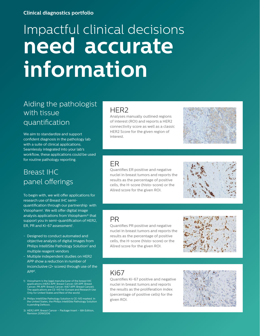#### **Clinical diagnostics portfolio**

## Impactful clinical decisions **need accurate informatic need accurate information**

### Aiding the pathologist with tissue quantification

We aim to standardize and support confident diagnosis in the pathology lab with a suite of clinical applications. Seamlessly integrated into your lab's workflow, these applications could be used for routine pathology reporting.

### Breast IHC panel offerings

To begin with, we will offer applications for research use of Breast IHC semiquantification through our partnership with Visiopharm1 . We will offer digital image analysis applications from Visiopharm® that support you in semi-quantification of HER2, ER, PR and Ki-67 assessment<sup>1</sup>.

- Designed to conduct automated and objective analysis of digital images from Philips IntelliSite Pathology Solution<sup>2</sup> and multiple reagent vendors
- Multiple independent studies on HER2 APP show a reduction in number of inconclusive (2+ scores) through use of the APP3 .
- 1) Visiopharm is the legal manufacturer of the breast IHC applications (HER2 APP, Breast Cancer; ER APP, Breast Cancer; PR APP, Breast Cancer; Ki67 APP, Breast Cancer). The applications are CE-IVD for Europe and Research Use Only for United States and Rest of the world.
- 2) Philips IntelliSite Pathology Solution is CE-IVD marked. In the United States, the Philips IntelliSite Pathology Solution is pending DeNovo.
- 3) HER2 APP, Breast Cancer Package Insert 6th Edition, Revision 20160206

#### HER2

Analyses manually outlined regions of interest (ROI) and reports a HER2 connectivity score as well as a classic HER2 Score for the given region of interest.



#### ER

Quantifies ER positive and negative nuclei in breast tumors and reports the results as the percentage of positive cells, the H-score (histo-score) or the Allred score for the given ROI.



#### PR

Quantifies PR positive and negative nuclei in breast tumors and reports the results as the percentage of positive cells, the H-score (histo-score) or the Allred score for the given ROI.



#### Ki67

Quantifies Ki-67 positive and negative nuclei in breast tumors and reports the results as the proliferation index (percentage of positive cells) for the given ROI.

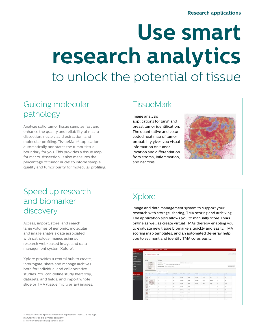## **Use smart research analytics** to unlock the potential of tissue

## Guiding molecular pathology

Analyze solid tumor tissue samples fast and enhance the quality and reliability of macro dissection, nucleic acid extraction, and molecular profiling. TissueMark4 application automatically annotates the tumor tissue boundary for you. This provides a tissue map for macro-dissection. It also measures the percentage of tumor nuclei to inform sample quality and tumor purity for molecular profiling.

## **TissueMark**

Image analysis applications for lung<sup>5</sup> and breast tumor identification. The quantitative and color coded heat map of tumor probability gives you visual information on tumor location and differentiation from stroma, inflammation, and necrosis.



### Speed up research and biomarker discovery

Access, import, store, and search large volumes of genomic, molecular and image analysis data associated with pathology images using our research web-based image and data management system Xplore4.

Xplore provides a central hub to create, interrogate, share and manage archives both for individual and collaborative studies. You can define study hierarchy, datasets, and fields, and import whole slide or TMA (tissue micro array) images.

## **Xplore**

Image and data management system to support your research with storage, sharing, TMA scoring and archiving. The application also allows you to manually score TMAs online as well as create virtual TMAs thereby enabling you to evaluate new tissue biomarkers quickly and easily. TMA scoring map templates, and an automated de-array help you to segment and identify TMA cores easily.

|          | A TAA Stute EEO60116   Image1 |                                    |                                                     |                                        |                                  |                             |         |                         |                    |              | .144.68 View      |
|----------|-------------------------------|------------------------------------|-----------------------------------------------------|----------------------------------------|----------------------------------|-----------------------------|---------|-------------------------|--------------------|--------------|-------------------|
|          |                               |                                    |                                                     |                                        |                                  |                             |         |                         |                    |              |                   |
| Prestant |                               | <b>Y</b> intermation               |                                                     |                                        |                                  |                             |         |                         |                    |              |                   |
|          | MANNAHOM.<br>00000000         | CREATED BY manager<br>FRE LOCATION |                                                     | m2 988 1.26 89 D. freezed methodol and | CERATED OVER 18/06/2016 14 13:59 |                             |         |                         |                    |              |                   |
|          | $-99.08889$<br><br>44444444   |                                    | Associated Determine   Suited Information Determine |                                        |                                  |                             |         |                         |                    |              | Shire brota Fards |
|          | 0000000000                    | Salest Columns, Missile Indian     |                                                     |                                        |                                  |                             |         |                         |                    |              |                   |
| TIPE O   | $\sim$                        | ROW                                | COLUMN                                              | <b>CORE TYPE</b>                       | <b>CORE STATUS</b>               | stare                       | scoles. | Peterina Turmar Dagwick |                    | Apr          | Genie             |
| G<br>__  | A2                            | ×                                  | $\sim$                                              | Tair.                                  | Crimesed                         | Image1                      | manager | $+1256$                 | tus                | $\mathbf{r}$ | Make.             |
|          |                               | ×                                  | ×.                                                  | <b>Sept</b>                            | Doogsed:                         | men!                        | mateper | $-105$                  | <b>Similarment</b> | $^{16}$      | <b>Vola</b>       |
|          |                               | ×                                  | $\sim$                                              | Sec.                                   | Octaam 8<br>--                   | Inport<br>- 25              | manager | $-1025$                 | <b>Everyon</b>     | $x^2$        | Farage            |
| $\circ$  | $\circ$                       | ×                                  | o.                                                  | Test                                   | <b>Outspiel</b>                  | (rispe)                     |         |                         |                    | v            | Vole              |
| 430      | $\sim$                        | ×                                  | $\mathbb{R}^n$                                      | 380                                    | Octubed                          | $-1$<br>mapri.<br>260<br>-- |         |                         |                    | 54           | trinin            |
| G        | $\mathcal{F}^{\prime}$        | ×                                  | ×.                                                  |                                        | <b>Unaccepted</b>                | <b>Import</b>               |         |                         |                    | $\mathbf{u}$ | Tende             |
| ary.     | 45                            | ×                                  | m.                                                  | 16.0                                   | <b>DOMMA</b>                     | import.<br>-039             |         |                         |                    | n            | <b>Mone</b>       |
| ing.     | ×                             |                                    | ×                                                   | Contac                                 | Dungted                          | image?                      |         |                         |                    | $\mathbf{r}$ | Female            |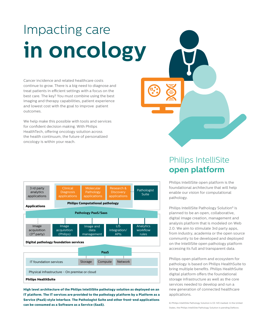## Impacting care **in oncology**

Cancer incidence and related healthcare costs continue to grow. There is a big need to diagnose and treat patients in efficient settings with a focus on the best care. The key? You must combine using the best imaging and therapy capabilities, patient experience and lowest cost with the goal to improve patient outcomes.

We help make this possible with tools and services for confident decision making. With Philips HealthTech, offering oncology solution across the health continuum, the future of personalized oncology is within your reach.



**High level architecture of the Philips IntelliSite pathology solution as deployed on an IT platform. The IT services are provided to the pathology platform by a Platform as a Service (PaaS) style interface. The Pathologist Suite and other front-end applications can be consumed as a Software as a Service (SaaS).**

## Philips IntelliSite **open platform**

Philips IntelliSite open platform is the foundational architecture that will help enable our vision for computational pathology.

Philips IntelliSite Pathology Solution<sup>6</sup> is planned to be an open, collaborative, digital image creation, management and analysis platform that is modeled on Web 2.0. We aim to stimulate 3rd party apps, from industry, academia or the open source community to be developed and deployed on the IntelliSite open pathology platform accessing its full and transparent data.

Philips open platform and ecosystem for pathology is based on Philips HealthSuite to bring multiple benefits. Philips HealthSuite digital platform offers the foundational storage infrastructure as well as the core services needed to develop and run a new generation of connected healthcare applications.

6) Philips IntelliSite Pathology Solution is CE-IVD marked. In the United States, the Philips IntelliSite Pathology Solution is pending DeNovo.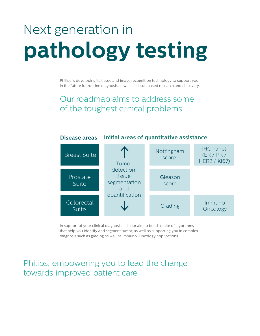## Next generation in **pathology testing**

Philips is developing its tissue and image recognition technology to support you in the future for routine diagnosis as well as tissue based research and discovery.

Our roadmap aims to address some of the toughest clinical problems.



In support of your clinical diagnosis, it is our aim to build a suite of algorithms that help you identify and segment tumor, as well as supporting you in complex diagnosis such as grading as well as immuno-Oncology applications.

### Philips, empowering you to lead the change towards improved patient care